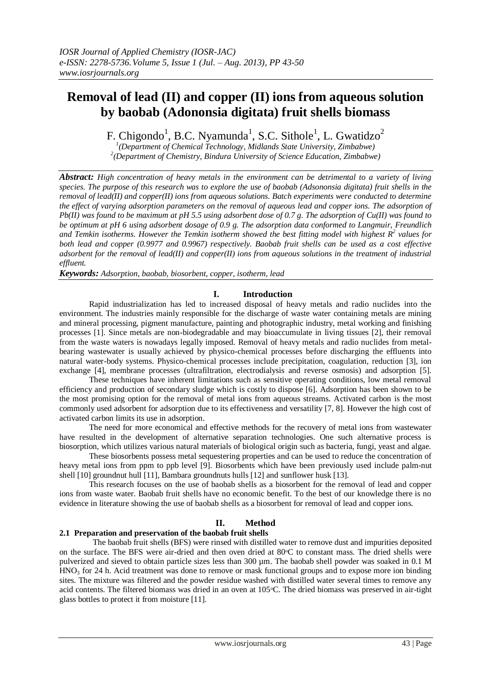# **Removal of lead (II) and copper (II) ions from aqueous solution by baobab (Adononsia digitata) fruit shells biomass**

F. Chigondo<sup>1</sup>, B.C. Nyamunda<sup>1</sup>, S.C. Sithole<sup>1</sup>, L. Gwatidzo<sup>2</sup>

*1 (Department of Chemical Technology, Midlands State University, Zimbabwe) 2 (Department of Chemistry, Bindura University of Science Education, Zimbabwe)*

*Abstract: High concentration of heavy metals in the environment can be detrimental to a variety of living species. The purpose of this research was to explore the use of baobab (Adsononsia digitata) fruit shells in the removal of lead(II) and copper(II) ions from aqueous solutions. Batch experiments were conducted to determine the effect of varying adsorption parameters on the removal of aqueous lead and copper ions. The adsorption of Pb(II) was found to be maximum at pH 5.5 using adsorbent dose of 0.7 g. The adsorption of Cu(II) was found to be optimum at pH 6 using adsorbent dosage of 0.9 g. The adsorption data conformed to Langmuir, Freundlich and Temkin isotherms. However the Temkin isotherm showed the best fitting model with highest R<sup>2</sup> values for both lead and copper (0.9977 and 0.9967) respectively. Baobab fruit shells can be used as a cost effective adsorbent for the removal of lead(II) and copper(II) ions from aqueous solutions in the treatment of industrial effluent.* 

*Keywords: Adsorption, baobab, biosorbent, copper, isotherm, lead*

## **I. Introduction**

Rapid industrialization has led to increased disposal of heavy metals and radio nuclides into the environment. The industries mainly responsible for the discharge of waste water containing metals are mining and mineral processing, pigment manufacture, painting and photographic industry, metal working and finishing processes [1]. Since metals are non-biodegradable and may bioaccumulate in living tissues [2], their removal from the waste waters is nowadays legally imposed. Removal of heavy metals and radio nuclides from metalbearing wastewater is usually achieved by physico-chemical processes before discharging the effluents into natural water-body systems. Physico-chemical processes include precipitation, coagulation, reduction [3], ion exchange [4], membrane processes (ultrafiltration, electrodialysis and reverse osmosis) and adsorption [5].

These techniques have inherent limitations such as sensitive operating conditions, low metal removal efficiency and production of secondary sludge which is costly to dispose [6]. Adsorption has been shown to be the most promising option for the removal of metal ions from aqueous streams. Activated carbon is the most commonly used adsorbent for adsorption due to its effectiveness and versatility [7, 8]. However the high cost of activated carbon limits its use in adsorption.

The need for more economical and effective methods for the recovery of metal ions from wastewater have resulted in the development of alternative separation technologies. One such alternative process is biosorption, which utilizes various natural materials of biological origin such as bacteria, fungi, yeast and algae.

These biosorbents possess metal sequestering properties and can be used to reduce the concentration of heavy metal ions from ppm to ppb level [9]. Biosorbents which have been previously used include palm-nut shell [10] groundnut hull [11], Bambara groundnuts hulls [12] and sunflower husk [13].

This research focuses on the use of baobab shells as a biosorbent for the removal of lead and copper ions from waste water. Baobab fruit shells have no economic benefit. To the best of our knowledge there is no evidence in literature showing the use of baobab shells as a biosorbent for removal of lead and copper ions.

## **II. Method**

## **2.1 Preparation and preservation of the baobab fruit shells**

The baobab fruit shells (BFS) were rinsed with distilled water to remove dust and impurities deposited on the surface. The BFS were air-dried and then oven dried at 80°C to constant mass. The dried shells were pulverized and sieved to obtain particle sizes less than 300 µm. The baobab shell powder was soaked in 0.1 M  $HNO<sub>3</sub>$  for 24 h. Acid treatment was done to remove or mask functional groups and to expose more ion binding sites. The mixture was filtered and the powder residue washed with distilled water several times to remove any acid contents. The filtered biomass was dried in an oven at 105 °C. The dried biomass was preserved in air-tight glass bottles to protect it from moisture [11].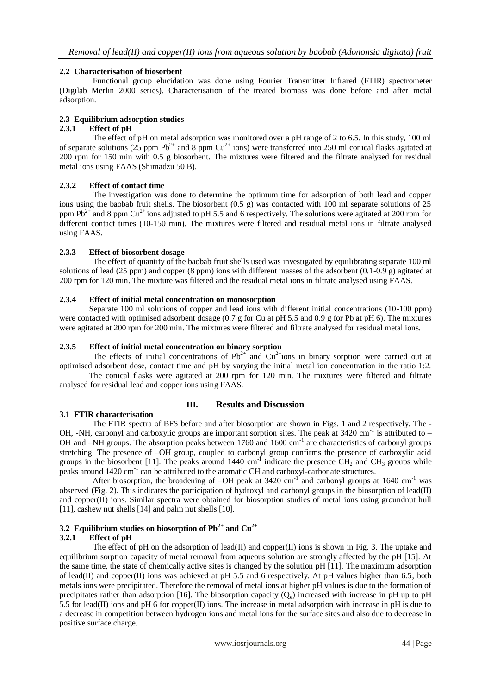## **2.2 Characterisation of biosorbent**

Functional group elucidation was done using Fourier Transmitter Infrared (FTIR) spectrometer (Digilab Merlin 2000 series). Characterisation of the treated biomass was done before and after metal adsorption.

## **2.3 Equilibrium adsorption studies**

#### **2.3.1 Effect of pH**

The effect of pH on metal adsorption was monitored over a pH range of 2 to 6.5. In this study, 100 ml of separate solutions  $(25 \text{ ppm Pb}^{2+} \text{ and } 8 \text{ ppm Cu}^{2+} \text{ ions})$  were transferred into 250 ml conical flasks agitated at 200 rpm for 150 min with 0.5 g biosorbent. The mixtures were filtered and the filtrate analysed for residual metal ions using FAAS (Shimadzu 50 B).

## **2.3.2 Effect of contact time**

The investigation was done to determine the optimum time for adsorption of both lead and copper ions using the baobab fruit shells. The biosorbent (0.5 g) was contacted with 100 ml separate solutions of 25 ppm  $Pb^{2+}$  and 8 ppm  $Cu^{2+}$  ions adjusted to pH 5.5 and 6 respectively. The solutions were agitated at 200 rpm for different contact times (10-150 min). The mixtures were filtered and residual metal ions in filtrate analysed using FAAS.

#### **2.3.3 Effect of biosorbent dosage**

The effect of quantity of the baobab fruit shells used was investigated by equilibrating separate 100 ml solutions of lead (25 ppm) and copper (8 ppm) ions with different masses of the adsorbent  $(0.1-0.9 \text{ g})$  agitated at 200 rpm for 120 min. The mixture was filtered and the residual metal ions in filtrate analysed using FAAS.

#### **2.3.4 Effect of initial metal concentration on monosorption**

Separate 100 ml solutions of copper and lead ions with different initial concentrations (10-100 ppm) were contacted with optimised adsorbent dosage (0.7 g for Cu at pH 5.5 and 0.9 g for Pb at pH 6). The mixtures were agitated at 200 rpm for 200 min. The mixtures were filtered and filtrate analysed for residual metal ions.

#### **2.3.5 Effect of initial metal concentration on binary sorption**

The effects of initial concentrations of  $Pb^{2+}$  and  $Cu^{2+}$ ions in binary sorption were carried out at optimised adsorbent dose, contact time and pH by varying the initial metal ion concentration in the ratio 1:2.

The conical flasks were agitated at 200 rpm for 120 min. The mixtures were filtered and filtrate analysed for residual lead and copper ions using FAAS.

## **3.1 FTIR characterisation**

## **III. Results and Discussion**

The FTIR spectra of BFS before and after biosorption are shown in Figs. 1 and 2 respectively. The - OH, -NH, carbonyl and carboxylic groups are important sorption sites. The peak at 3420 cm<sup>-1</sup> is attributed to -OH and –NH groups. The absorption peaks between 1760 and 1600 cm<sup>-1</sup> are characteristics of carbonyl groups stretching. The presence of –OH group, coupled to carbonyl group confirms the presence of carboxylic acid groups in the biosorbent [11]. The peaks around 1440 cm<sup>-1</sup> indicate the presence  $\text{CH}_2$  and  $\text{CH}_3$  groups while peaks around 1420 cm<sup>-1</sup> can be attributed to the aromatic CH and carboxyl-carbonate structures.

After biosorption, the broadening of  $-OH$  peak at 3420 cm<sup>-1</sup> and carbonyl groups at 1640 cm<sup>-1</sup> was observed (Fig. 2). This indicates the participation of hydroxyl and carbonyl groups in the biosorption of lead(II) and copper(II) ions. Similar spectra were obtained for biosorption studies of metal ions using groundnut hull [11], cashew nut shells [14] and palm nut shells [10].

## **3.2 Equilibrium studies on biosorption of Pb2+ and Cu2+**

## **3.2.1 Effect of pH**

The effect of pH on the adsorption of lead(II) and copper(II) ions is shown in Fig. 3. The uptake and equilibrium sorption capacity of metal removal from aqueous solution are strongly affected by the pH [15]. At the same time, the state of chemically active sites is changed by the solution pH [11]. The maximum adsorption of lead(II) and copper(II) ions was achieved at pH 5.5 and 6 respectively. At pH values higher than 6.5, both metals ions were precipitated. Therefore the removal of metal ions at higher pH values is due to the formation of precipitates rather than adsorption [16]. The biosorption capacity  $(Q_e)$  increased with increase in pH up to pH 5.5 for lead(II) ions and pH 6 for copper(II) ions. The increase in metal adsorption with increase in pH is due to a decrease in competition between hydrogen ions and metal ions for the surface sites and also due to decrease in positive surface charge.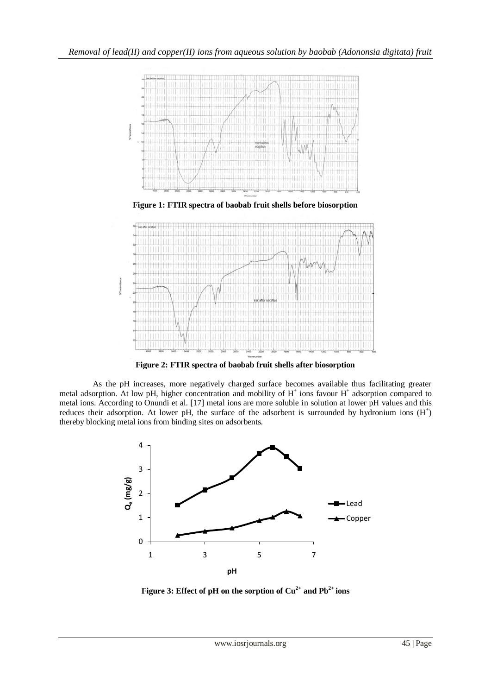

**Figure 2: FTIR spectra of baobab fruit shells after biosorption**

As the pH increases, more negatively charged surface becomes available thus facilitating greater metal adsorption. At low pH, higher concentration and mobility of H<sup>+</sup> ions favour H<sup>+</sup> adsorption compared to metal ions. According to Onundi et al. [17] metal ions are more soluble in solution at lower pH values and this reduces their adsorption. At lower pH, the surface of the adsorbent is surrounded by hydronium ions  $(H<sup>+</sup>)$ thereby blocking metal ions from binding sites on adsorbents.



**Figure 3: Effect of pH on the sorption of**  $Cu^{2+}$  **and**  $Pb^{2+}$  **ions**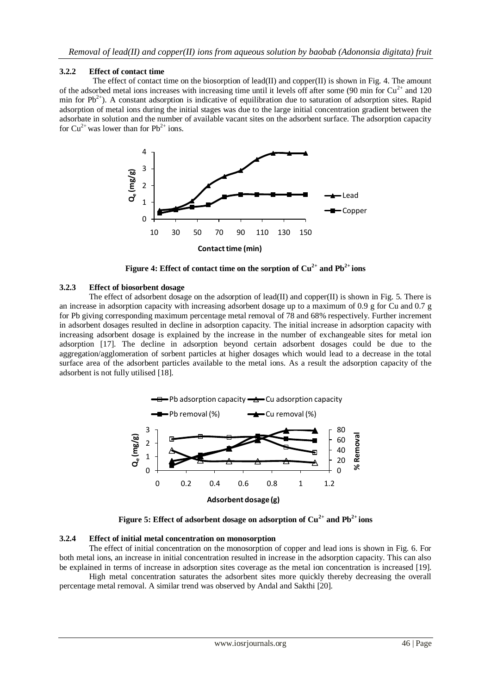#### **3.2.2 Effect of contact time**

The effect of contact time on the biosorption of lead(II) and copper(II) is shown in Fig. 4. The amount of the adsorbed metal ions increases with increasing time until it levels off after some (90 min for  $Cu^{2+}$  and 120 min for  $Pb^{2+}$ ). A constant adsorption is indicative of equilibration due to saturation of adsorption sites. Rapid adsorption of metal ions during the initial stages was due to the large initial concentration gradient between the adsorbate in solution and the number of available vacant sites on the adsorbent surface. The adsorption capacity for  $Cu^{2+}$  was lower than for  $Pb^{2+}$  ions.



**Figure 4: Effect of contact time on the sorption of**  $Cu^{2+}$  **and**  $Pb^{2+}$  **<b>ions** 

#### **3.2.3 Effect of biosorbent dosage**

The effect of adsorbent dosage on the adsorption of lead(II) and copper(II) is shown in Fig. 5. There is an increase in adsorption capacity with increasing adsorbent dosage up to a maximum of 0.9 g for Cu and 0.7 g for Pb giving corresponding maximum percentage metal removal of 78 and 68% respectively. Further increment in adsorbent dosages resulted in decline in adsorption capacity. The initial increase in adsorption capacity with increasing adsorbent dosage is explained by the increase in the number of exchangeable sites for metal ion adsorption [17]. The decline in adsorption beyond certain adsorbent dosages could be due to the aggregation/agglomeration of sorbent particles at higher dosages which would lead to a decrease in the total surface area of the adsorbent particles available to the metal ions. As a result the adsorption capacity of the adsorbent is not fully utilised [18].



**Figure 5: Effect of adsorbent dosage on adsorption of**  $Cu^{2+}$  **and**  $Pb^{2+}$  **<b>ions** 

#### **3.2.4 Effect of initial metal concentration on monosorption**

The effect of initial concentration on the monosorption of copper and lead ions is shown in Fig. 6. For both metal ions, an increase in initial concentration resulted in increase in the adsorption capacity. This can also be explained in terms of increase in adsorption sites coverage as the metal ion concentration is increased [19].

High metal concentration saturates the adsorbent sites more quickly thereby decreasing the overall percentage metal removal. A similar trend was observed by Andal and Sakthi [20].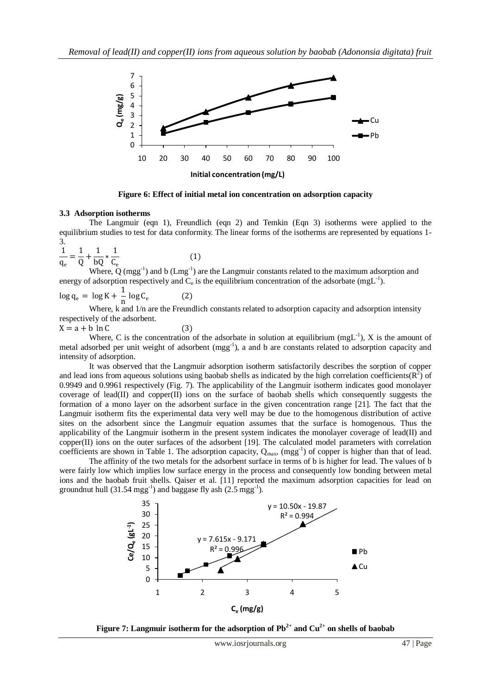

**Figure 6: Effect of initial metal ion concentration on adsorption capacity**

#### **3.3 Adsorption isotherms**

The Langmuir (eqn 1), Freundlich (eqn 2) and Temkin (Eqn 3) isotherms were applied to the equilibrium studies to test for data conformity. The linear forms of the isotherms are represented by equations 1- 3.

$$
\frac{1}{q_e} = \frac{1}{Q} + \frac{1}{bQ} * \frac{1}{C_e}
$$
 (1)

Where,  $\dot{Q}$  (mgg<sup>-1</sup>) and b (Lmg<sup>-1</sup>) are the Langmuir constants related to the maximum adsorption and energy of adsorption respectively and  $C_e$  is the equilibrium concentration of the adsorbate (mgL<sup>-1</sup>).

$$
\log q_e = \log K + \frac{1}{n} \log C_e \tag{2}
$$

Where, k and  $1/n$  are the Freundlich constants related to adsorption capacity and adsorption intensity respectively of the adsorbent.

 $X = a + b \ln C$  (3)

Where, C is the concentration of the adsorbate in solution at equilibrium  $(mgL^{-1})$ , X is the amount of metal adsorbed per unit weight of adsorbent (mgg<sup>-1</sup>), a and b are constants related to adsorption capacity and intensity of adsorption.

It was observed that the Langmuir adsorption isotherm satisfactorily describes the sorption of copper and lead ions from aqueous solutions using baobab shells as indicated by the high correlation coefficients( $\overline{R}^2$ ) of 0.9949 and 0.9961 respectively (Fig. 7). The applicability of the Langmuir isotherm indicates good monolayer coverage of lead(II) and copper $(II)$  ions on the surface of baobab shells which consequently suggests the formation of a mono layer on the adsorbent surface in the given concentration range [21]. The fact that the Langmuir isotherm fits the experimental data very well may be due to the homogenous distribution of active sites on the adsorbent since the Langmuir equation assumes that the surface is homogenous. Thus the applicability of the Langmuir isotherm in the present system indicates the monolayer coverage of lead(II) and  $copper(II)$  ions on the outer surfaces of the adsorbent [19]. The calculated model parameters with correlation coefficients are shown in Table 1. The adsorption capacity,  $Q_{max}$ ,  $(mgg^{-1})$  of copper is higher than that of lead.

The affinity of the two metals for the adsorbent surface in terms of b is higher for lead. The values of b were fairly low which implies low surface energy in the process and consequently low bonding between metal ions and the baobab fruit shells. Qaiser et al. [11] reported the maximum adsorption capacities for lead on groundnut hull  $(31.54 \text{ mgg}^{-1})$  and baggase fly ash  $(2.5 \text{ mgg}^{-1})$ .



**Figure 7: Langmuir isotherm for the adsorption of**  $\text{Pb}^{2+}$  **and**  $\text{Cu}^{2+}$  **on shells of baobab**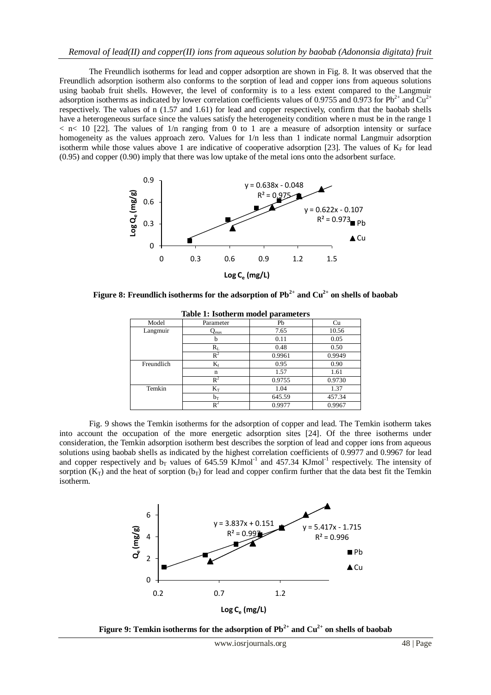The Freundlich isotherms for lead and copper adsorption are shown in Fig. 8. It was observed that the Freundlich adsorption isotherm also conforms to the sorption of lead and copper ions from aqueous solutions using baobab fruit shells. However, the level of conformity is to a less extent compared to the Langmuir adsorption isotherms as indicated by lower correlation coefficients values of 0.9755 and 0.973 for  $Pb^{2+}$  and  $Cu^{2+}$ respectively. The values of n (1.57 and 1.61) for lead and copper respectively, confirm that the baobab shells have a heterogeneous surface since the values satisfy the heterogeneity condition where n must be in the range 1  $\langle$  n $\langle$  10 [22]. The values of 1/n ranging from 0 to 1 are a measure of adsorption intensity or surface homogeneity as the values approach zero. Values for  $1/n$  less than 1 indicate normal Langmuir adsorption isotherm while those values above 1 are indicative of cooperative adsorption [23]. The values of  $K_F$  for lead (0.95) and copper (0.90) imply that there was low uptake of the metal ions onto the adsorbent surface.



**Figure 8: Freundlich isotherms for the adsorption of**  $\text{Pb}^{2+}$  **and**  $\text{Cu}^{2+}$  **on shells of baobab** 

|            | ---- <i>-</i> -------      |        |        |  |  |
|------------|----------------------------|--------|--------|--|--|
| Model      | Parameter                  | Pb     | Cu     |  |  |
| Langmuir   | $\mathcal{Q}_{\text{max}}$ | 7.65   | 10.56  |  |  |
|            | b                          | 0.11   | 0.05   |  |  |
|            | $\rm R_L$                  | 0.48   | 0.50   |  |  |
|            | $\mathbf{R}^2$             | 0.9961 | 0.9949 |  |  |
| Freundlich | $K_f$                      | 0.95   | 0.90   |  |  |
|            | n                          | 1.57   | 1.61   |  |  |
|            | $R^2$                      | 0.9755 | 0.9730 |  |  |
| Temkin     | $K_T$                      | 1.04   | 1.37   |  |  |
|            | $b_T$                      | 645.59 | 457.34 |  |  |
|            | Rź                         | 0.9977 | 0.9967 |  |  |

**Table 1: Isotherm model parameters**

Fig. 9 shows the Temkin isotherms for the adsorption of copper and lead. The Temkin isotherm takes into account the occupation of the more energetic adsorption sites [24]. Of the three isotherms under consideration, the Temkin adsorption isotherm best describes the sorption of lead and copper ions from aqueous solutions using baobab shells as indicated by the highest correlation coefficients of 0.9977 and 0.9967 for lead and copper respectively and  $b_T$  values of 645.59 KJmol<sup>-1</sup> and 457.34 KJmol<sup>-1</sup> respectively. The intensity of sorption  $(K_T)$  and the heat of sorption  $(b_T)$  for lead and copper confirm further that the data best fit the Temkin isotherm.



**Figure 9: Temkin isotherms for the adsorption of**  $\text{Pb}^{2+}$  **and**  $\text{Cu}^{2+}$  **on shells of baobab**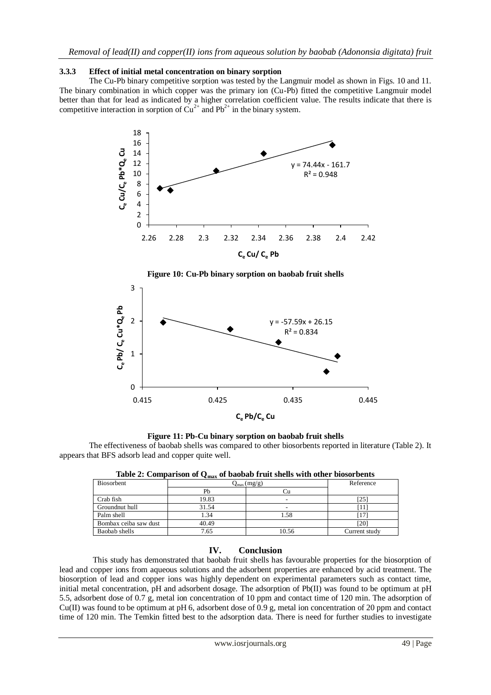#### **3.3.3 Effect of initial metal concentration on binary sorption**

The Cu-Pb binary competitive sorption was tested by the Langmuir model as shown in Figs. 10 and 11. The binary combination in which copper was the primary ion (Cu-Pb) fitted the competitive Langmuir model better than that for lead as indicated by a higher correlation coefficient value. The results indicate that there is competitive interaction in sorption of  $Cu^{2+}$  and Pb<sup>2+</sup> in the binary system.





**Figure 10: Cu-Pb binary sorption on baobab fruit shells**

**Figure 11: Pb-Cu binary sorption on baobab fruit shells**

The effectiveness of baobab shells was compared to other biosorbents reported in literature (Table 2). It appears that BFS adsorb lead and copper quite well.

| Biosorbent            | $Q_{\text{max}}(mg/g)$ |       | Reference     |
|-----------------------|------------------------|-------|---------------|
|                       | Pb                     |       |               |
| Crab fish             | 19.83                  | ۰     | $[25]$        |
| Groundnut hull        | 31.54                  | -     |               |
| Palm shell            | 1.34                   | 1.58  | 17            |
| Bombax ceiba saw dust | 40.49                  |       | [20]          |
| Baobab shells         | 7.65                   | 10.56 | Current study |

**Table 2: Comparison of Qmax of baobab fruit shells with other biosorbents**

## **IV. Conclusion**

This study has demonstrated that baobab fruit shells has favourable properties for the biosorption of lead and copper ions from aqueous solutions and the adsorbent properties are enhanced by acid treatment. The biosorption of lead and copper ions was highly dependent on experimental parameters such as contact time, initial metal concentration, pH and adsorbent dosage. The adsorption of Pb(II) was found to be optimum at pH 5.5, adsorbent dose of 0.7 g, metal ion concentration of 10 ppm and contact time of 120 min. The adsorption of Cu(II) was found to be optimum at pH 6, adsorbent dose of 0.9 g, metal ion concentration of 20 ppm and contact time of 120 min. The Temkin fitted best to the adsorption data. There is need for further studies to investigate